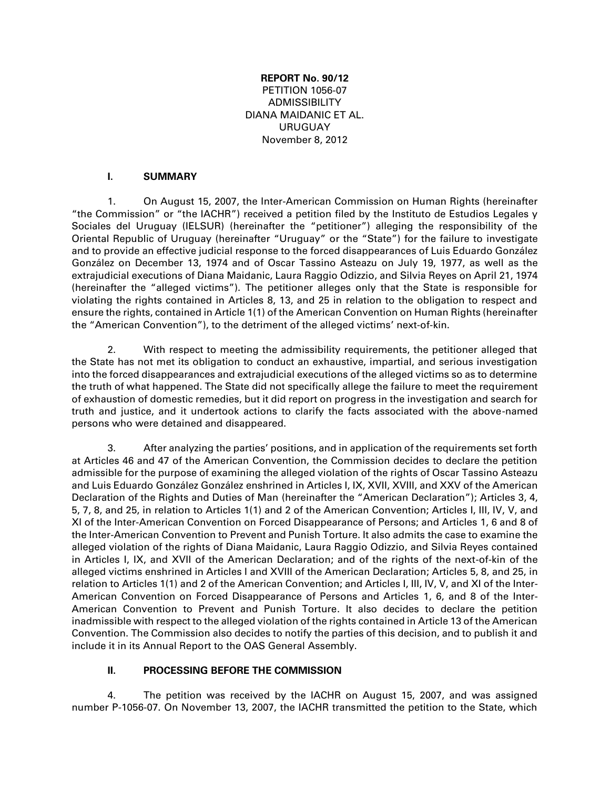### **REPORT No. 90/12** PETITION 1056-07 ADMISSIBILITY DIANA MAIDANIC ET AL. URUGUAY November 8, 2012

#### **I. SUMMARY**

1. On August 15, 2007, the Inter-American Commission on Human Rights (hereinafter "the Commission" or "the IACHR") received a petition filed by the Instituto de Estudios Legales y Sociales del Uruguay (IELSUR) (hereinafter the "petitioner") alleging the responsibility of the Oriental Republic of Uruguay (hereinafter "Uruguay" or the "State") for the failure to investigate and to provide an effective judicial response to the forced disappearances of Luis Eduardo González González on December 13, 1974 and of Oscar Tassino Asteazu on July 19, 1977, as well as the extrajudicial executions of Diana Maidanic, Laura Raggio Odizzio, and Silvia Reyes on April 21, 1974 (hereinafter the "alleged victims"). The petitioner alleges only that the State is responsible for violating the rights contained in Articles 8, 13, and 25 in relation to the obligation to respect and ensure the rights, contained in Article 1(1) of the American Convention on Human Rights (hereinafter the "American Convention"), to the detriment of the alleged victims' next-of-kin.

2. With respect to meeting the admissibility requirements, the petitioner alleged that the State has not met its obligation to conduct an exhaustive, impartial, and serious investigation into the forced disappearances and extrajudicial executions of the alleged victims so as to determine the truth of what happened. The State did not specifically allege the failure to meet the requirement of exhaustion of domestic remedies, but it did report on progress in the investigation and search for truth and justice, and it undertook actions to clarify the facts associated with the above-named persons who were detained and disappeared.

3. After analyzing the parties' positions, and in application of the requirements set forth at Articles 46 and 47 of the American Convention, the Commission decides to declare the petition admissible for the purpose of examining the alleged violation of the rights of Oscar Tassino Asteazu and Luis Eduardo González González enshrined in Articles I, IX, XVII, XVIII, and XXV of the American Declaration of the Rights and Duties of Man (hereinafter the "American Declaration"); Articles 3, 4, 5, 7, 8, and 25, in relation to Articles 1(1) and 2 of the American Convention; Articles I, III, IV, V, and XI of the Inter-American Convention on Forced Disappearance of Persons; and Articles 1, 6 and 8 of the Inter-American Convention to Prevent and Punish Torture. It also admits the case to examine the alleged violation of the rights of Diana Maidanic, Laura Raggio Odizzio, and Silvia Reyes contained in Articles I, IX, and XVII of the American Declaration; and of the rights of the next-of-kin of the alleged victims enshrined in Articles I and XVIII of the American Declaration; Articles 5, 8, and 25, in relation to Articles 1(1) and 2 of the American Convention; and Articles I, III, IV, V, and XI of the Inter-American Convention on Forced Disappearance of Persons and Articles 1, 6, and 8 of the Inter-American Convention to Prevent and Punish Torture. It also decides to declare the petition inadmissible with respect to the alleged violation of the rights contained in Article 13 of the American Convention. The Commission also decides to notify the parties of this decision, and to publish it and include it in its Annual Report to the OAS General Assembly.

#### **II. PROCESSING BEFORE THE COMMISSION**

4. The petition was received by the IACHR on August 15, 2007, and was assigned number P-1056-07. On November 13, 2007, the IACHR transmitted the petition to the State, which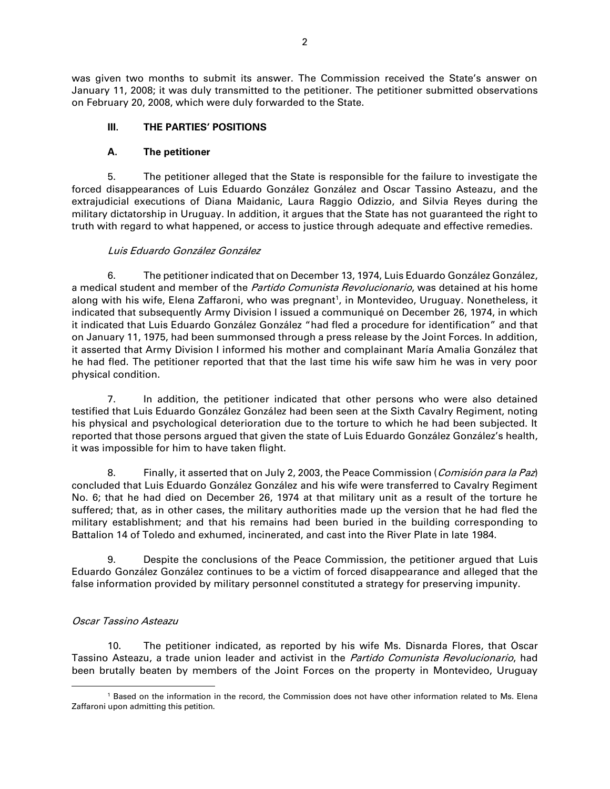was given two months to submit its answer. The Commission received the State's answer on January 11, 2008; it was duly transmitted to the petitioner. The petitioner submitted observations on February 20, 2008, which were duly forwarded to the State.

### **III. THE PARTIES' POSITIONS**

#### **A. The petitioner**

5. The petitioner alleged that the State is responsible for the failure to investigate the forced disappearances of Luis Eduardo González González and Oscar Tassino Asteazu, and the extrajudicial executions of Diana Maidanic, Laura Raggio Odizzio, and Silvia Reyes during the military dictatorship in Uruguay. In addition, it argues that the State has not guaranteed the right to truth with regard to what happened, or access to justice through adequate and effective remedies.

#### Luis Eduardo González González

6. The petitioner indicated that on December 13, 1974, Luis Eduardo González González, a medical student and member of the *Partido Comunista Revolucionario*, was detained at his home along with his wife, Elena Zaffaroni, who was pregnant<sup>1</sup>, in Montevideo, Uruguay. Nonetheless, it indicated that subsequently Army Division I issued a communiqué on December 26, 1974, in which it indicated that Luis Eduardo González González "had fled a procedure for identification" and that on January 11, 1975, had been summonsed through a press release by the Joint Forces. In addition, it asserted that Army Division I informed his mother and complainant María Amalia González that he had fled. The petitioner reported that that the last time his wife saw him he was in very poor physical condition.

7. In addition, the petitioner indicated that other persons who were also detained testified that Luis Eduardo González González had been seen at the Sixth Cavalry Regiment, noting his physical and psychological deterioration due to the torture to which he had been subjected. It reported that those persons argued that given the state of Luis Eduardo González González's health, it was impossible for him to have taken flight.

8. Finally, it asserted that on July 2, 2003, the Peace Commission (Comisión para la Paz) concluded that Luis Eduardo González González and his wife were transferred to Cavalry Regiment No. 6; that he had died on December 26, 1974 at that military unit as a result of the torture he suffered; that, as in other cases, the military authorities made up the version that he had fled the military establishment; and that his remains had been buried in the building corresponding to Battalion 14 of Toledo and exhumed, incinerated, and cast into the River Plate in late 1984.

9. Despite the conclusions of the Peace Commission, the petitioner argued that Luis Eduardo González González continues to be a victim of forced disappearance and alleged that the false information provided by military personnel constituted a strategy for preserving impunity.

#### Oscar Tassino Asteazu

10. The petitioner indicated, as reported by his wife Ms. Disnarda Flores, that Oscar Tassino Asteazu, a trade union leader and activist in the Partido Comunista Revolucionario, had been brutally beaten by members of the Joint Forces on the property in Montevideo, Uruguay

<sup>1</sup> Based on the information in the record, the Commission does not have other information related to Ms. Elena Zaffaroni upon admitting this petition.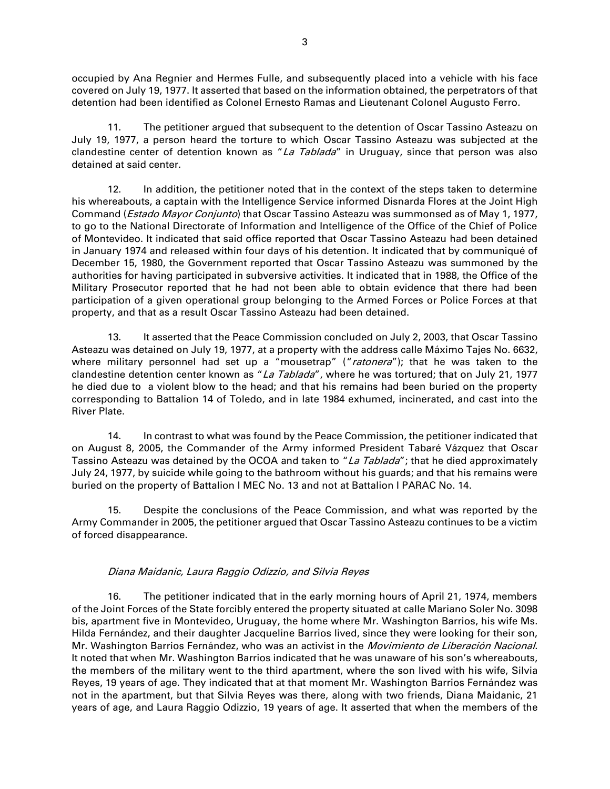occupied by Ana Regnier and Hermes Fulle, and subsequently placed into a vehicle with his face covered on July 19, 1977. It asserted that based on the information obtained, the perpetrators of that detention had been identified as Colonel Ernesto Ramas and Lieutenant Colonel Augusto Ferro.

11. The petitioner argued that subsequent to the detention of Oscar Tassino Asteazu on July 19, 1977, a person heard the torture to which Oscar Tassino Asteazu was subjected at the clandestine center of detention known as "La Tablada" in Uruguay, since that person was also detained at said center.

12. In addition, the petitioner noted that in the context of the steps taken to determine his whereabouts, a captain with the Intelligence Service informed Disnarda Flores at the Joint High Command (*Estado Mayor Conjunto*) that Oscar Tassino Asteazu was summonsed as of May 1, 1977, to go to the National Directorate of Information and Intelligence of the Office of the Chief of Police of Montevideo. It indicated that said office reported that Oscar Tassino Asteazu had been detained in January 1974 and released within four days of his detention. It indicated that by communiqué of December 15, 1980, the Government reported that Oscar Tassino Asteazu was summoned by the authorities for having participated in subversive activities. It indicated that in 1988, the Office of the Military Prosecutor reported that he had not been able to obtain evidence that there had been participation of a given operational group belonging to the Armed Forces or Police Forces at that property, and that as a result Oscar Tassino Asteazu had been detained.

13. It asserted that the Peace Commission concluded on July 2, 2003, that Oscar Tassino Asteazu was detained on July 19, 1977, at a property with the address calle Máximo Tajes No. 6632, where military personnel had set up a "mousetrap" ("ratonera"); that he was taken to the clandestine detention center known as "La Tablada", where he was tortured; that on July 21, 1977 he died due to a violent blow to the head; and that his remains had been buried on the property corresponding to Battalion 14 of Toledo, and in late 1984 exhumed, incinerated, and cast into the River Plate.

14. In contrast to what was found by the Peace Commission, the petitioner indicated that on August 8, 2005, the Commander of the Army informed President Tabaré Vázquez that Oscar Tassino Asteazu was detained by the OCOA and taken to "La Tablada"; that he died approximately July 24, 1977, by suicide while going to the bathroom without his guards; and that his remains were buried on the property of Battalion I MEC No. 13 and not at Battalion I PARAC No. 14.

15. Despite the conclusions of the Peace Commission, and what was reported by the Army Commander in 2005, the petitioner argued that Oscar Tassino Asteazu continues to be a victim of forced disappearance.

#### Diana Maidanic, Laura Raggio Odizzio, and Silvia Reyes

16. The petitioner indicated that in the early morning hours of April 21, 1974, members of the Joint Forces of the State forcibly entered the property situated at calle Mariano Soler No. 3098 bis, apartment five in Montevideo, Uruguay, the home where Mr. Washington Barrios, his wife Ms. Hilda Fernández, and their daughter Jacqueline Barrios lived, since they were looking for their son, Mr. Washington Barrios Fernández, who was an activist in the Movimiento de Liberación Nacional. It noted that when Mr. Washington Barrios indicated that he was unaware of his son's whereabouts, the members of the military went to the third apartment, where the son lived with his wife, Silvia Reyes, 19 years of age. They indicated that at that moment Mr. Washington Barrios Fernández was not in the apartment, but that Silvia Reyes was there, along with two friends, Diana Maidanic, 21 years of age, and Laura Raggio Odizzio, 19 years of age. It asserted that when the members of the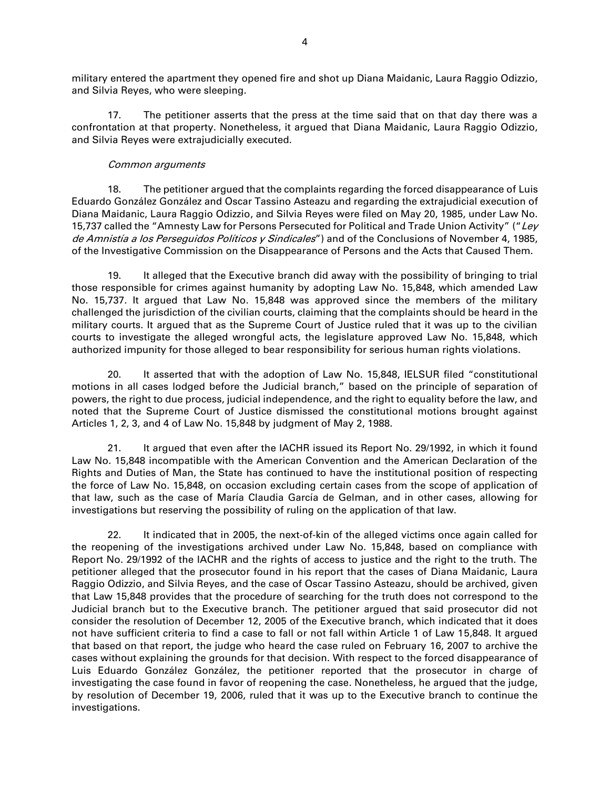military entered the apartment they opened fire and shot up Diana Maidanic, Laura Raggio Odizzio, and Silvia Reyes, who were sleeping.

17. The petitioner asserts that the press at the time said that on that day there was a confrontation at that property. Nonetheless, it argued that Diana Maidanic, Laura Raggio Odizzio, and Silvia Reyes were extrajudicially executed.

#### Common arguments

18. The petitioner argued that the complaints regarding the forced disappearance of Luis Eduardo González González and Oscar Tassino Asteazu and regarding the extrajudicial execution of Diana Maidanic, Laura Raggio Odizzio, and Silvia Reyes were filed on May 20, 1985, under Law No. 15,737 called the "Amnesty Law for Persons Persecuted for Political and Trade Union Activity" ("Ley de Amnistía a los Perseguidos Políticos y Sindicales") and of the Conclusions of November 4, 1985, of the Investigative Commission on the Disappearance of Persons and the Acts that Caused Them.

19. It alleged that the Executive branch did away with the possibility of bringing to trial those responsible for crimes against humanity by adopting Law No. 15,848, which amended Law No. 15,737. It argued that Law No. 15,848 was approved since the members of the military challenged the jurisdiction of the civilian courts, claiming that the complaints should be heard in the military courts. It argued that as the Supreme Court of Justice ruled that it was up to the civilian courts to investigate the alleged wrongful acts, the legislature approved Law No. 15,848, which authorized impunity for those alleged to bear responsibility for serious human rights violations.

20. It asserted that with the adoption of Law No. 15,848, IELSUR filed "constitutional motions in all cases lodged before the Judicial branch," based on the principle of separation of powers, the right to due process, judicial independence, and the right to equality before the law, and noted that the Supreme Court of Justice dismissed the constitutional motions brought against Articles 1, 2, 3, and 4 of Law No. 15,848 by judgment of May 2, 1988.

21. It argued that even after the IACHR issued its Report No. 29/1992, in which it found Law No. 15,848 incompatible with the American Convention and the American Declaration of the Rights and Duties of Man, the State has continued to have the institutional position of respecting the force of Law No. 15,848, on occasion excluding certain cases from the scope of application of that law, such as the case of María Claudia García de Gelman, and in other cases, allowing for investigations but reserving the possibility of ruling on the application of that law.

22. It indicated that in 2005, the next-of-kin of the alleged victims once again called for the reopening of the investigations archived under Law No. 15,848, based on compliance with Report No. 29/1992 of the IACHR and the rights of access to justice and the right to the truth. The petitioner alleged that the prosecutor found in his report that the cases of Diana Maidanic, Laura Raggio Odizzio, and Silvia Reyes, and the case of Oscar Tassino Asteazu, should be archived, given that Law 15,848 provides that the procedure of searching for the truth does not correspond to the Judicial branch but to the Executive branch. The petitioner argued that said prosecutor did not consider the resolution of December 12, 2005 of the Executive branch, which indicated that it does not have sufficient criteria to find a case to fall or not fall within Article 1 of Law 15,848. It argued that based on that report, the judge who heard the case ruled on February 16, 2007 to archive the cases without explaining the grounds for that decision. With respect to the forced disappearance of Luis Eduardo González González, the petitioner reported that the prosecutor in charge of investigating the case found in favor of reopening the case. Nonetheless, he argued that the judge, by resolution of December 19, 2006, ruled that it was up to the Executive branch to continue the investigations.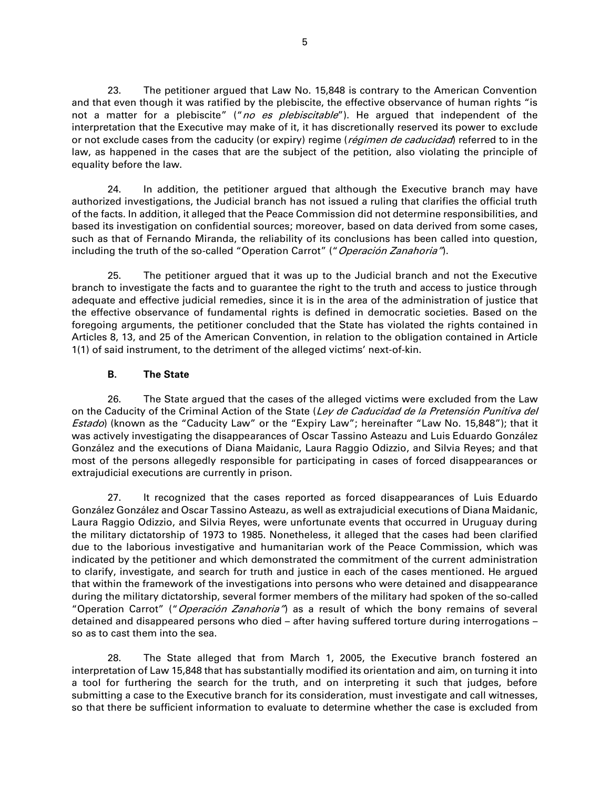23. The petitioner argued that Law No. 15,848 is contrary to the American Convention and that even though it was ratified by the plebiscite, the effective observance of human rights "is not a matter for a plebiscite" ("no es plebiscitable"). He argued that independent of the interpretation that the Executive may make of it, it has discretionally reserved its power to exclude or not exclude cases from the caducity (or expiry) regime (*régimen de caducidad*) referred to in the law, as happened in the cases that are the subject of the petition, also violating the principle of equality before the law.

24. In addition, the petitioner argued that although the Executive branch may have authorized investigations, the Judicial branch has not issued a ruling that clarifies the official truth of the facts. In addition, it alleged that the Peace Commission did not determine responsibilities, and based its investigation on confidential sources; moreover, based on data derived from some cases, such as that of Fernando Miranda, the reliability of its conclusions has been called into question, including the truth of the so-called "Operation Carrot" ("Operación Zanahoria").

25. The petitioner argued that it was up to the Judicial branch and not the Executive branch to investigate the facts and to guarantee the right to the truth and access to justice through adequate and effective judicial remedies, since it is in the area of the administration of justice that the effective observance of fundamental rights is defined in democratic societies. Based on the foregoing arguments, the petitioner concluded that the State has violated the rights contained in Articles 8, 13, and 25 of the American Convention, in relation to the obligation contained in Article 1(1) of said instrument, to the detriment of the alleged victims' next-of-kin.

#### **B. The State**

26. The State argued that the cases of the alleged victims were excluded from the Law on the Caducity of the Criminal Action of the State (Ley de Caducidad de la Pretensión Punitiva del Estado) (known as the "Caducity Law" or the "Expiry Law"; hereinafter "Law No. 15,848"); that it was actively investigating the disappearances of Oscar Tassino Asteazu and Luis Eduardo González González and the executions of Diana Maidanic, Laura Raggio Odizzio, and Silvia Reyes; and that most of the persons allegedly responsible for participating in cases of forced disappearances or extrajudicial executions are currently in prison.

27. It recognized that the cases reported as forced disappearances of Luis Eduardo González González and Oscar Tassino Asteazu, as well as extrajudicial executions of Diana Maidanic, Laura Raggio Odizzio, and Silvia Reyes, were unfortunate events that occurred in Uruguay during the military dictatorship of 1973 to 1985. Nonetheless, it alleged that the cases had been clarified due to the laborious investigative and humanitarian work of the Peace Commission, which was indicated by the petitioner and which demonstrated the commitment of the current administration to clarify, investigate, and search for truth and justice in each of the cases mentioned. He argued that within the framework of the investigations into persons who were detained and disappearance during the military dictatorship, several former members of the military had spoken of the so-called "Operation Carrot" ("Operación Zanahoria") as a result of which the bony remains of several detained and disappeared persons who died – after having suffered torture during interrogations – so as to cast them into the sea.

28. The State alleged that from March 1, 2005, the Executive branch fostered an interpretation of Law 15,848 that has substantially modified its orientation and aim, on turning it into a tool for furthering the search for the truth, and on interpreting it such that judges, before submitting a case to the Executive branch for its consideration, must investigate and call witnesses, so that there be sufficient information to evaluate to determine whether the case is excluded from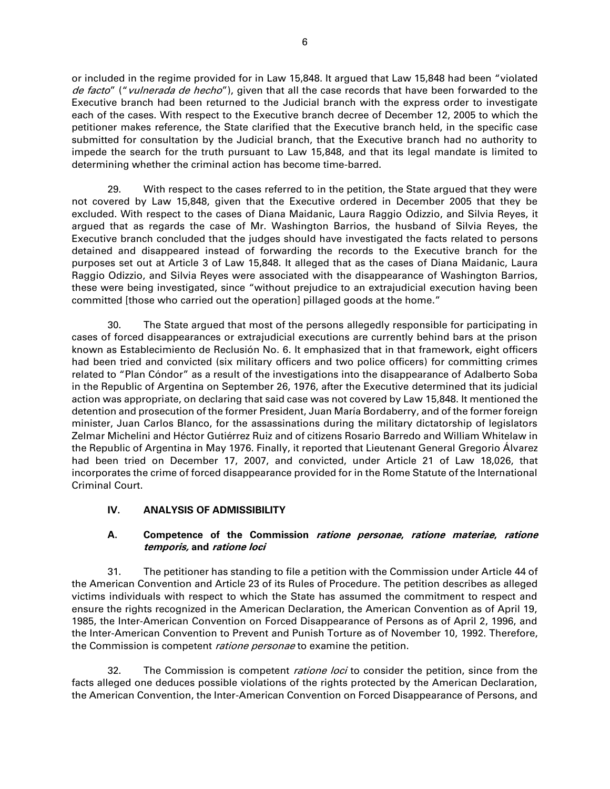or included in the regime provided for in Law 15,848. It argued that Law 15,848 had been "violated de facto" ("vulnerada de hecho"), given that all the case records that have been forwarded to the Executive branch had been returned to the Judicial branch with the express order to investigate each of the cases. With respect to the Executive branch decree of December 12, 2005 to which the petitioner makes reference, the State clarified that the Executive branch held, in the specific case submitted for consultation by the Judicial branch, that the Executive branch had no authority to impede the search for the truth pursuant to Law 15,848, and that its legal mandate is limited to determining whether the criminal action has become time-barred.

29. With respect to the cases referred to in the petition, the State argued that they were not covered by Law 15,848, given that the Executive ordered in December 2005 that they be excluded. With respect to the cases of Diana Maidanic, Laura Raggio Odizzio, and Silvia Reyes, it argued that as regards the case of Mr. Washington Barrios, the husband of Silvia Reyes, the Executive branch concluded that the judges should have investigated the facts related to persons detained and disappeared instead of forwarding the records to the Executive branch for the purposes set out at Article 3 of Law 15,848. It alleged that as the cases of Diana Maidanic, Laura Raggio Odizzio, and Silvia Reyes were associated with the disappearance of Washington Barrios, these were being investigated, since "without prejudice to an extrajudicial execution having been committed [those who carried out the operation] pillaged goods at the home."

30. The State argued that most of the persons allegedly responsible for participating in cases of forced disappearances or extrajudicial executions are currently behind bars at the prison known as Establecimiento de Reclusión No. 6. It emphasized that in that framework, eight officers had been tried and convicted (six military officers and two police officers) for committing crimes related to "Plan Cóndor" as a result of the investigations into the disappearance of Adalberto Soba in the Republic of Argentina on September 26, 1976, after the Executive determined that its judicial action was appropriate, on declaring that said case was not covered by Law 15,848. It mentioned the detention and prosecution of the former President, Juan María Bordaberry, and of the former foreign minister, Juan Carlos Blanco, for the assassinations during the military dictatorship of legislators Zelmar Michelini and Héctor Gutiérrez Ruiz and of citizens Rosario Barredo and William Whitelaw in the Republic of Argentina in May 1976. Finally, it reported that Lieutenant General Gregorio Álvarez had been tried on December 17, 2007, and convicted, under Article 21 of Law 18,026, that incorporates the crime of forced disappearance provided for in the Rome Statute of the International Criminal Court.

#### **IV. ANALYSIS OF ADMISSIBILITY**

#### **A. Competence of the Commission ratione personae, ratione materiae, ratione temporis, and ratione loci**

31. The petitioner has standing to file a petition with the Commission under Article 44 of the American Convention and Article 23 of its Rules of Procedure. The petition describes as alleged victims individuals with respect to which the State has assumed the commitment to respect and ensure the rights recognized in the American Declaration, the American Convention as of April 19, 1985, the Inter-American Convention on Forced Disappearance of Persons as of April 2, 1996, and the Inter-American Convention to Prevent and Punish Torture as of November 10, 1992. Therefore, the Commission is competent *ratione personae* to examine the petition.

32. The Commission is competent *ratione loci* to consider the petition, since from the facts alleged one deduces possible violations of the rights protected by the American Declaration, the American Convention, the Inter-American Convention on Forced Disappearance of Persons, and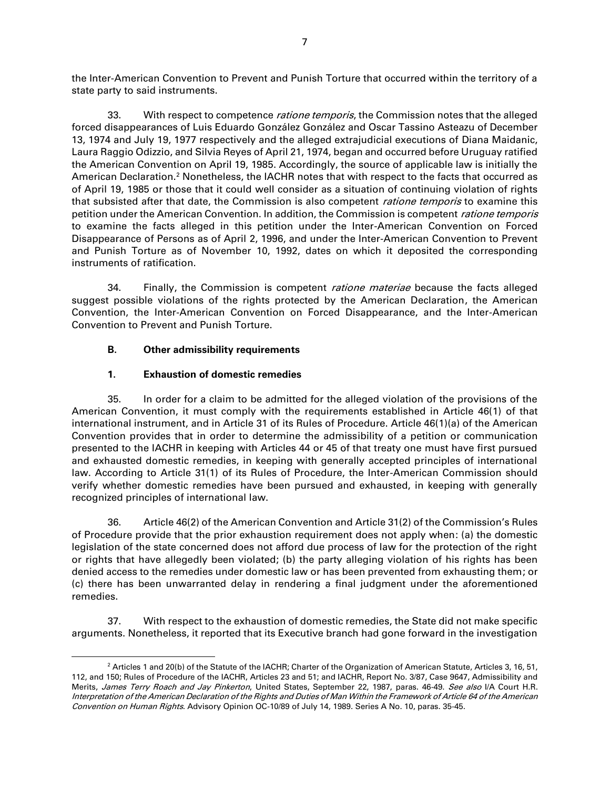the Inter-American Convention to Prevent and Punish Torture that occurred within the territory of a state party to said instruments.

33. With respect to competence *ratione temporis*, the Commission notes that the alleged forced disappearances of Luis Eduardo González González and Oscar Tassino Asteazu of December 13, 1974 and July 19, 1977 respectively and the alleged extrajudicial executions of Diana Maidanic, Laura Raggio Odizzio, and Silvia Reyes of April 21, 1974, began and occurred before Uruguay ratified the American Convention on April 19, 1985. Accordingly, the source of applicable law is initially the American Declaration.<sup>2</sup> Nonetheless, the IACHR notes that with respect to the facts that occurred as of April 19, 1985 or those that it could well consider as a situation of continuing violation of rights that subsisted after that date, the Commission is also competent *ratione temporis* to examine this petition under the American Convention. In addition, the Commission is competent *ratione temporis* to examine the facts alleged in this petition under the Inter-American Convention on Forced Disappearance of Persons as of April 2, 1996, and under the Inter-American Convention to Prevent and Punish Torture as of November 10, 1992, dates on which it deposited the corresponding instruments of ratification.

34. Finally, the Commission is competent *ratione materiae* because the facts alleged suggest possible violations of the rights protected by the American Declaration, the American Convention, the Inter-American Convention on Forced Disappearance, and the Inter-American Convention to Prevent and Punish Torture.

# **B. Other admissibility requirements**

# **1. Exhaustion of domestic remedies**

35. In order for a claim to be admitted for the alleged violation of the provisions of the American Convention, it must comply with the requirements established in Article 46(1) of that international instrument, and in Article 31 of its Rules of Procedure. Article 46(1)(a) of the American Convention provides that in order to determine the admissibility of a petition or communication presented to the IACHR in keeping with Articles 44 or 45 of that treaty one must have first pursued and exhausted domestic remedies, in keeping with generally accepted principles of international law. According to Article 31(1) of its Rules of Procedure, the Inter-American Commission should verify whether domestic remedies have been pursued and exhausted, in keeping with generally recognized principles of international law.

36. Article 46(2) of the American Convention and Article 31(2) of the Commission's Rules of Procedure provide that the prior exhaustion requirement does not apply when: (a) the domestic legislation of the state concerned does not afford due process of law for the protection of the right or rights that have allegedly been violated; (b) the party alleging violation of his rights has been denied access to the remedies under domestic law or has been prevented from exhausting them; or (c) there has been unwarranted delay in rendering a final judgment under the aforementioned remedies.

37. With respect to the exhaustion of domestic remedies, the State did not make specific arguments. Nonetheless, it reported that its Executive branch had gone forward in the investigation

<sup>&</sup>lt;sup>2</sup> Articles 1 and 20(b) of the Statute of the IACHR; Charter of the Organization of American Statute, Articles 3, 16, 51, 112, and 150; Rules of Procedure of the IACHR, Articles 23 and 51; and IACHR, Report No. 3/87, Case 9647, Admissibility and Merits, James Terry Roach and Jay Pinkerton, United States, September 22, 1987, paras. 46-49. See also I/A Court H.R. Interpretation of the American Declaration of the Rights and Duties of Man Within the Framework of Article 64 of the American Convention on Human Rights. Advisory Opinion OC-10/89 of July 14, 1989. Series A No. 10, paras. 35-45.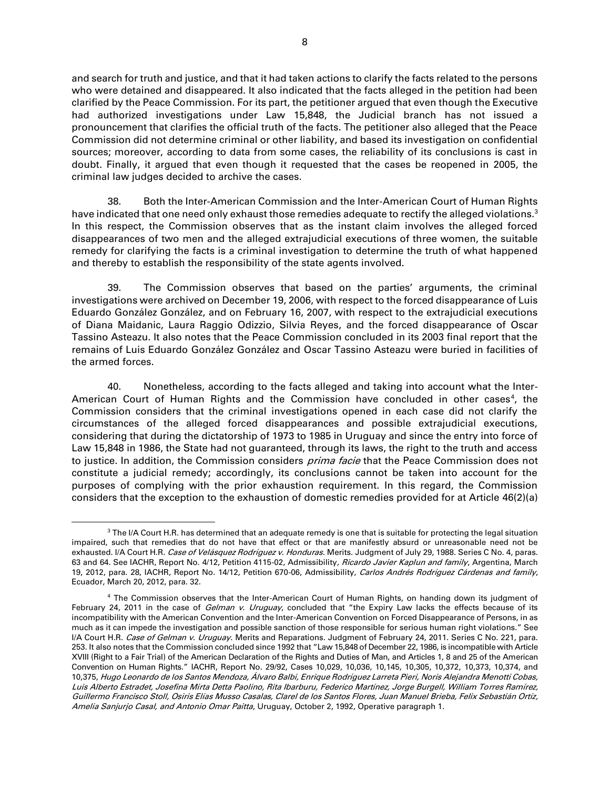and search for truth and justice, and that it had taken actions to clarify the facts related to the persons who were detained and disappeared. It also indicated that the facts alleged in the petition had been clarified by the Peace Commission. For its part, the petitioner argued that even though the Executive had authorized investigations under Law 15,848, the Judicial branch has not issued a pronouncement that clarifies the official truth of the facts. The petitioner also alleged that the Peace Commission did not determine criminal or other liability, and based its investigation on confidential sources; moreover, according to data from some cases, the reliability of its conclusions is cast in doubt. Finally, it argued that even though it requested that the cases be reopened in 2005, the criminal law judges decided to archive the cases.

38. Both the Inter-American Commission and the Inter-American Court of Human Rights have indicated that one need only exhaust those remedies adequate to rectify the alleged violations.<sup>3</sup> In this respect, the Commission observes that as the instant claim involves the alleged forced disappearances of two men and the alleged extrajudicial executions of three women, the suitable remedy for clarifying the facts is a criminal investigation to determine the truth of what happened and thereby to establish the responsibility of the state agents involved.

39. The Commission observes that based on the parties' arguments, the criminal investigations were archived on December 19, 2006, with respect to the forced disappearance of Luis Eduardo González González, and on February 16, 2007, with respect to the extrajudicial executions of Diana Maidanic, Laura Raggio Odizzio, Silvia Reyes, and the forced disappearance of Oscar Tassino Asteazu. It also notes that the Peace Commission concluded in its 2003 final report that the remains of Luis Eduardo González González and Oscar Tassino Asteazu were buried in facilities of the armed forces.

40. Nonetheless, according to the facts alleged and taking into account what the Inter-American Court of Human Rights and the Commission have concluded in other cases<sup>4</sup>, the Commission considers that the criminal investigations opened in each case did not clarify the circumstances of the alleged forced disappearances and possible extrajudicial executions, considering that during the dictatorship of 1973 to 1985 in Uruguay and since the entry into force of Law 15,848 in 1986, the State had not guaranteed, through its laws, the right to the truth and access to justice. In addition, the Commission considers prima facie that the Peace Commission does not constitute a judicial remedy; accordingly, its conclusions cannot be taken into account for the purposes of complying with the prior exhaustion requirement. In this regard, the Commission considers that the exception to the exhaustion of domestic remedies provided for at Article 46(2)(a)

 $3$  The I/A Court H.R. has determined that an adequate remedy is one that is suitable for protecting the legal situation impaired, such that remedies that do not have that effect or that are manifestly absurd or unreasonable need not be exhausted. I/A Court H.R. Case of Velásquez Rodríguez v. Honduras. Merits. Judgment of July 29, 1988. Series C No. 4, paras. 63 and 64. See IACHR, Report No. 4/12, Petition 4115-02, Admissibility, Ricardo Javier Kaplun and family, Argentina, March 19, 2012, para. 28, IACHR, Report No. 14/12, Petition 670-06, Admissibility, Carlos Andrés Rodríguez Cárdenas and family, Ecuador, March 20, 2012, para. 32.

<sup>&</sup>lt;sup>4</sup> The Commission observes that the Inter-American Court of Human Rights, on handing down its judgment of February 24, 2011 in the case of *Gelman v. Uruguay*, concluded that "the Expiry Law lacks the effects because of its incompatibility with the American Convention and the Inter-American Convention on Forced Disappearance of Persons, in as much as it can impede the investigation and possible sanction of those responsible for serious human right violations." See I/A Court H.R. Case of Gelman v. Uruguay. Merits and Reparations. Judgment of February 24, 2011. Series C No. 221, para. 253. It also notes that the Commission concluded since 1992 that "Law 15,848 of December 22, 1986, is incompatible with Article XVIII (Right to a Fair Trial) of the American Declaration of the Rights and Duties of Man, and Articles 1, 8 and 25 of the American Convention on Human Rights." IACHR, Report No. 29/92, Cases 10,029, 10,036, 10,145, 10,305, 10,372, 10,373, 10,374, and 10,375, Hugo Leonardo de los Santos Mendoza, Álvaro Balbi, Enrique Rodríguez Larreta Pieri, Noris Alejandra Menotti Cobas, Luis Alberto Estradet, Josefina Mirta Detta Paolino, Rita Ibarburu, Federico Martínez, Jorge Burgell, William Torres Ramírez, Guillermo Francisco Stoll, Osiris Elías Musso Casalas, Clarel de los Santos Flores, Juan Manuel Brieba, Felix Sebastián Ortíz, Amelia Sanjurjo Casal, and Antonio Omar Paitta, Uruguay, October 2, 1992, Operative paragraph 1.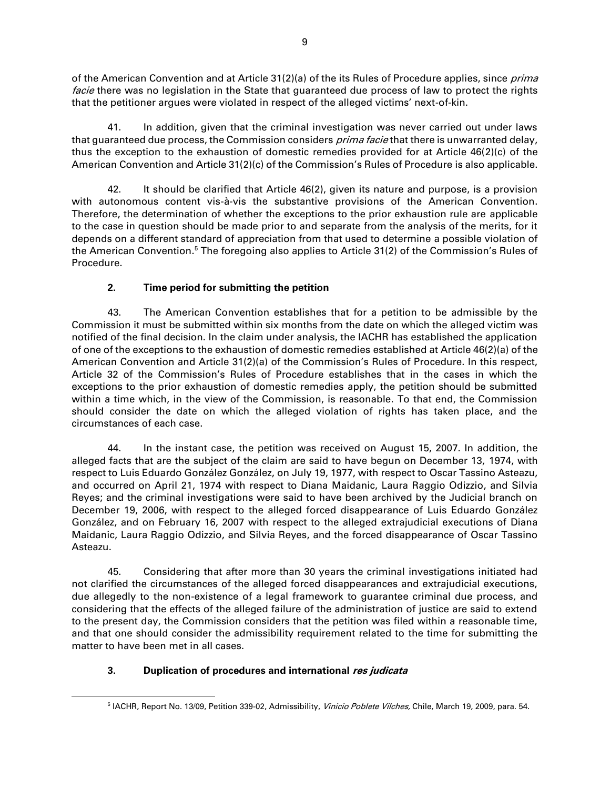of the American Convention and at Article 31(2)(a) of the its Rules of Procedure applies, since *prima* facie there was no legislation in the State that guaranteed due process of law to protect the rights that the petitioner argues were violated in respect of the alleged victims' next-of-kin.

41. In addition, given that the criminal investigation was never carried out under laws that guaranteed due process, the Commission considers *prima facie* that there is unwarranted delay, thus the exception to the exhaustion of domestic remedies provided for at Article 46(2)(c) of the American Convention and Article 31(2)(c) of the Commission's Rules of Procedure is also applicable.

42. It should be clarified that Article 46(2), given its nature and purpose, is a provision with autonomous content vis-à-vis the substantive provisions of the American Convention. Therefore, the determination of whether the exceptions to the prior exhaustion rule are applicable to the case in question should be made prior to and separate from the analysis of the merits, for it depends on a different standard of appreciation from that used to determine a possible violation of the American Convention.<sup>5</sup> The foregoing also applies to Article 31(2) of the Commission's Rules of Procedure.

# **2. Time period for submitting the petition**

43. The American Convention establishes that for a petition to be admissible by the Commission it must be submitted within six months from the date on which the alleged victim was notified of the final decision. In the claim under analysis, the IACHR has established the application of one of the exceptions to the exhaustion of domestic remedies established at Article 46(2)(a) of the American Convention and Article 31(2)(a) of the Commission's Rules of Procedure. In this respect, Article 32 of the Commission's Rules of Procedure establishes that in the cases in which the exceptions to the prior exhaustion of domestic remedies apply, the petition should be submitted within a time which, in the view of the Commission, is reasonable. To that end, the Commission should consider the date on which the alleged violation of rights has taken place, and the circumstances of each case.

44. In the instant case, the petition was received on August 15, 2007. In addition, the alleged facts that are the subject of the claim are said to have begun on December 13, 1974, with respect to Luis Eduardo González González, on July 19, 1977, with respect to Oscar Tassino Asteazu, and occurred on April 21, 1974 with respect to Diana Maidanic, Laura Raggio Odizzio, and Silvia Reyes; and the criminal investigations were said to have been archived by the Judicial branch on December 19, 2006, with respect to the alleged forced disappearance of Luis Eduardo González González, and on February 16, 2007 with respect to the alleged extrajudicial executions of Diana Maidanic, Laura Raggio Odizzio, and Silvia Reyes, and the forced disappearance of Oscar Tassino Asteazu.

45. Considering that after more than 30 years the criminal investigations initiated had not clarified the circumstances of the alleged forced disappearances and extrajudicial executions, due allegedly to the non-existence of a legal framework to guarantee criminal due process, and considering that the effects of the alleged failure of the administration of justice are said to extend to the present day, the Commission considers that the petition was filed within a reasonable time, and that one should consider the admissibility requirement related to the time for submitting the matter to have been met in all cases.

# **3. Duplication of procedures and international res judicata**

<sup>&</sup>lt;sup>5</sup> IACHR, Report No. 13/09, Petition 339-02, Admissibility, *Vinicio Poblete Vilches,* Chile, March 19, 2009, para. 54.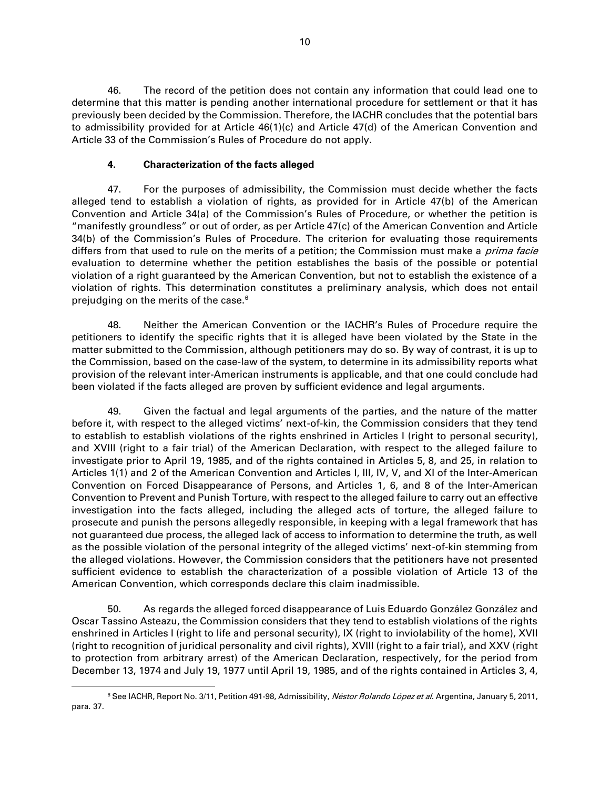46. The record of the petition does not contain any information that could lead one to determine that this matter is pending another international procedure for settlement or that it has previously been decided by the Commission. Therefore, the IACHR concludes that the potential bars to admissibility provided for at Article 46(1)(c) and Article 47(d) of the American Convention and Article 33 of the Commission's Rules of Procedure do not apply.

# **4. Characterization of the facts alleged**

47. For the purposes of admissibility, the Commission must decide whether the facts alleged tend to establish a violation of rights, as provided for in Article 47(b) of the American Convention and Article 34(a) of the Commission's Rules of Procedure, or whether the petition is "manifestly groundless" or out of order, as per Article 47(c) of the American Convention and Article 34(b) of the Commission's Rules of Procedure. The criterion for evaluating those requirements differs from that used to rule on the merits of a petition; the Commission must make a *prima facie* evaluation to determine whether the petition establishes the basis of the possible or potential violation of a right guaranteed by the American Convention, but not to establish the existence of a violation of rights. This determination constitutes a preliminary analysis, which does not entail prejudging on the merits of the case.<sup>6</sup>

48. Neither the American Convention or the IACHR's Rules of Procedure require the petitioners to identify the specific rights that it is alleged have been violated by the State in the matter submitted to the Commission, although petitioners may do so. By way of contrast, it is up to the Commission, based on the case-law of the system, to determine in its admissibility reports what provision of the relevant inter-American instruments is applicable, and that one could conclude had been violated if the facts alleged are proven by sufficient evidence and legal arguments.

49. Given the factual and legal arguments of the parties, and the nature of the matter before it, with respect to the alleged victims' next-of-kin, the Commission considers that they tend to establish to establish violations of the rights enshrined in Articles I (right to personal security), and XVIII (right to a fair trial) of the American Declaration, with respect to the alleged failure to investigate prior to April 19, 1985, and of the rights contained in Articles 5, 8, and 25, in relation to Articles 1(1) and 2 of the American Convention and Articles I, III, IV, V, and XI of the Inter-American Convention on Forced Disappearance of Persons, and Articles 1, 6, and 8 of the Inter-American Convention to Prevent and Punish Torture, with respect to the alleged failure to carry out an effective investigation into the facts alleged, including the alleged acts of torture, the alleged failure to prosecute and punish the persons allegedly responsible, in keeping with a legal framework that has not guaranteed due process, the alleged lack of access to information to determine the truth, as well as the possible violation of the personal integrity of the alleged victims' next-of-kin stemming from the alleged violations. However, the Commission considers that the petitioners have not presented sufficient evidence to establish the characterization of a possible violation of Article 13 of the American Convention, which corresponds declare this claim inadmissible.

50. As regards the alleged forced disappearance of Luis Eduardo González González and Oscar Tassino Asteazu, the Commission considers that they tend to establish violations of the rights enshrined in Articles I (right to life and personal security), IX (right to inviolability of the home), XVII (right to recognition of juridical personality and civil rights), XVIII (right to a fair trial), and XXV (right to protection from arbitrary arrest) of the American Declaration, respectively, for the period from December 13, 1974 and July 19, 1977 until April 19, 1985, and of the rights contained in Articles 3, 4,

<sup>&</sup>lt;sup>6</sup> See IACHR, Report No. 3/11, Petition 491-98, Admissibility, Néstor Rolando López et al. Argentina, January 5, 2011, para. 37.